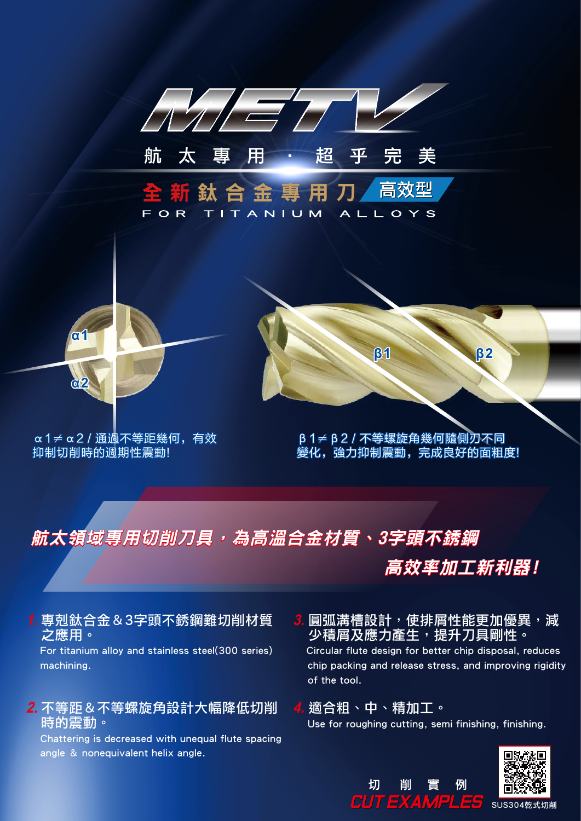

# 航太領域專用切削刀具,為高溫合金材質、3字頭不銹鋼

高效率加工新利器!

1. 專剋鈦合金 & 3字頭不銹鋼難切削材質 之應用。

 For titanium alloy and stainless steel(300 series) machining.

#### <mark>*2.* 不等距&不等螺旋角設計大幅降低切削</mark> 時的震動。

 Chattering is decreased with unequal flute spacing angle & nonequivalent helix angle.

 圓弧溝槽設計,使排屑性能更加優異,減 少積屑及應力產生,提升刀具剛性。 **3.**

 Circular flute design for better chip disposal, reduces chip packing and release stress, and improving rigidity of the tool.

## 適合粗、中、精加工。 **4.**

切

削

CUT EXAMPLES

Use for roughing cutting, semi finishing, finishing.